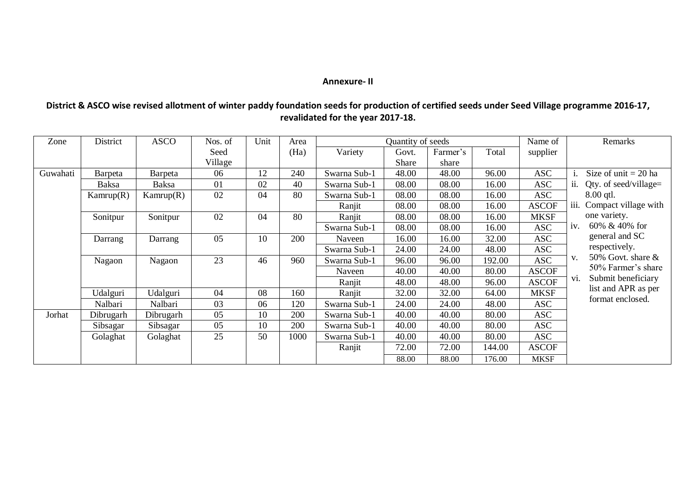## **Annexure- II**

| District & ASCO wise revised allotment of winter paddy foundation seeds for production of certified seeds under Seed Village programme 2016-17, |
|-------------------------------------------------------------------------------------------------------------------------------------------------|
| revalidated for the year 2017-18.                                                                                                               |

| Zone     | District  | <b>ASCO</b> | Nos. of | Unit | Area | Quantity of seeds |       |          |        | Name of      | Remarks                                 |
|----------|-----------|-------------|---------|------|------|-------------------|-------|----------|--------|--------------|-----------------------------------------|
|          |           |             | Seed    |      | (Ha) | Variety           | Govt. | Farmer's | Total  | supplier     |                                         |
|          |           |             | Village |      |      |                   | Share | share    |        |              |                                         |
| Guwahati | Barpeta   | Barpeta     | 06      | 12   | 240  | Swarna Sub-1      | 48.00 | 48.00    | 96.00  | <b>ASC</b>   | Size of unit $= 20$ ha                  |
|          | Baksa     | Baksa       | 01      | 02   | 40   | Swarna Sub-1      | 08.00 | 08.00    | 16.00  | <b>ASC</b>   | Qty. of seed/village=<br>ii.            |
|          | Kamrup(R) | Kamrup(R)   | 02      | 04   | 80   | Swarna Sub-1      | 08.00 | 08.00    | 16.00  | <b>ASC</b>   | $8.00$ qtl.                             |
|          |           |             |         |      |      | Ranjit            | 08.00 | 08.00    | 16.00  | <b>ASCOF</b> | iii.<br>Compact village with            |
|          | Sonitpur  | Sonitpur    | 02      | 04   | 80   | Ranjit            | 08.00 | 08.00    | 16.00  | <b>MKSF</b>  | one variety.                            |
|          |           |             |         |      |      | Swarna Sub-1      | 08.00 | 08.00    | 16.00  | <b>ASC</b>   | 60% & 40% for<br>iv.                    |
|          | Darrang   | Darrang     | 05      | 10   | 200  | Naveen            | 16.00 | 16.00    | 32.00  | <b>ASC</b>   | general and SC                          |
|          |           |             |         |      |      | Swarna Sub-1      | 24.00 | 24.00    | 48.00  | <b>ASC</b>   | respectively.                           |
|          | Nagaon    | Nagaon      | 23      | 46   | 960  | Swarna Sub-1      | 96.00 | 96.00    | 192.00 | <b>ASC</b>   | 50% Govt. share $\&$<br>v.              |
|          |           |             |         |      |      | Naveen            | 40.00 | 40.00    | 80.00  | <b>ASCOF</b> | 50% Farmer's share                      |
|          |           |             |         |      |      | Ranjit            | 48.00 | 48.00    | 96.00  | <b>ASCOF</b> | Submit beneficiary<br>V1.               |
|          | Udalguri  | Udalguri    | 04      | 08   | 160  | Ranjit            | 32.00 | 32.00    | 64.00  | <b>MKSF</b>  | list and APR as per<br>format enclosed. |
|          | Nalbari   | Nalbari     | 03      | 06   | 120  | Swarna Sub-1      | 24.00 | 24.00    | 48.00  | <b>ASC</b>   |                                         |
| Jorhat   | Dibrugarh | Dibrugarh   | 05      | 10   | 200  | Swarna Sub-1      | 40.00 | 40.00    | 80.00  | <b>ASC</b>   |                                         |
|          | Sibsagar  | Sibsagar    | 05      | 10   | 200  | Swarna Sub-1      | 40.00 | 40.00    | 80.00  | <b>ASC</b>   |                                         |
|          | Golaghat  | Golaghat    | 25      | 50   | 1000 | Swarna Sub-1      | 40.00 | 40.00    | 80.00  | <b>ASC</b>   |                                         |
|          |           |             |         |      |      | Ranjit            | 72.00 | 72.00    | 144.00 | <b>ASCOF</b> |                                         |
|          |           |             |         |      |      |                   | 88.00 | 88.00    | 176.00 | <b>MKSF</b>  |                                         |